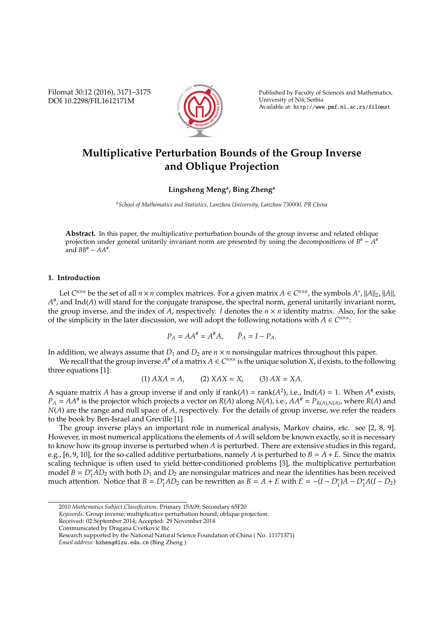Filomat 30:12 (2016), 3171–3175 DOI 10.2298/FIL1612171M



Published by Faculty of Sciences and Mathematics, University of Niš, Serbia Available at: http://www.pmf.ni.ac.rs/filomat

# **Multiplicative Perturbation Bounds of the Group Inverse and Oblique Projection**

# **Lingsheng Meng<sup>a</sup> , Bing Zheng<sup>a</sup>**

*<sup>a</sup>School of Mathematics and Statistics, Lanzhou University, Lanzhou 730000, PR China*

**Abstract.** In this paper, the multiplicative perturbation bounds of the group inverse and related oblique projection under general unitarily invariant norm are presented by using the decompositions of *B*<sup>#</sup> − *A*<sup>#</sup> and  $BB^{\#} - AA^{\#}$ .

## **1. Introduction**

Let  $C^{n \times n}$  be the set of all  $n \times n$  complex matrices. For a given matrix  $A \in C^{n \times n}$ , the symbols  $A^*$ ,  $||A||_2$ ,  $||A||$ ,  $A^\#$ , and Ind( $A$ ) will stand for the conjugate transpose, the spectral norm, general unitarily invariant norm, the group inverse, and the index of *A*, respectively. *I* denotes the  $n \times n$  identity matrix. Also, for the sake of the simplicity in the later discussion, we will adopt the following notations with  $A \in C^{n \times n}$ :

$$
P_A = AA^{\#} = A^{\#}A, \qquad \tilde{P}_A = I - P_A.
$$

In addition, we always assume that  $D_1$  and  $D_2$  are  $n \times n$  nonsingular matrices throughout this paper.

We recall that the group inverse  $A^*$  of a matrix  $A \in C^{n \times n}$  is the unique solution *X*, if exists, to the following three equations [1]:

(1) 
$$
AXA = A
$$
, (2)  $XAX = X$ , (3)  $AX = XA$ .

A square matrix A has a group inverse if and only if rank(A) = rank( $A^2$ ), i.e., Ind( $A$ ) = 1. When  $A^*$  exists,  $P_A = AA^{\#}$  is the projector which projects a vector on  $R(A)$  along  $N(A)$ , i.e.,  $AA^{\#} = P_{R(A),N(A)}$ , where  $R(A)$  and *N*(*A*) are the range and null space of *A*, respectively. For the details of group inverse, we refer the readers to the book by Ben-Israel and Greville [1].

The group inverse plays an important role in numerical analysis, Markov chains, etc. see [2, 8, 9]. However, in most numerical applications the elements of *A* will seldom be known exactly, so it is necessary to know how its group inverse is perturbed when *A* is perturbed. There are extensive studies in this regard, e.g.,  $[6, 9, 10]$ , for the so-called additive perturbations, namely *A* is perturbed to  $B = A + E$ . Since the matrix scaling technique is often used to yield better-conditioned problems [3], the multiplicative perturbation model  $B = D_1^* \overline{AD_2}$  with both  $D_1$  and  $D_2$  are nonsingular matrices and near the identities has been received much attention. Notice that  $B = D_1^*AD_2$  can be rewritten as  $B = A + E$  with  $E = -(I - D_1^*)A - D_1^*A(I - D_2)$ 

- Received: 02 September 2014; Accepted: 29 November 2014
- Communicated by Dragana Cvetković Ilić

<sup>2010</sup> *Mathematics Subject Classification*. Primary 15A09; Secondary 65F20

*Keywords*. Group inverse; multiplicative perturbation bound; oblique projection.

Research supported by the National Natural Science Foundation of China ( No. 11171371)

*Email address:* bzheng@lzu.edu.cn (Bing Zheng )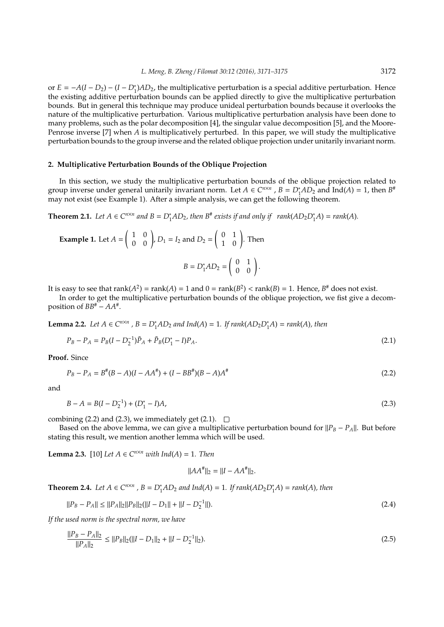or *E* = −*A*(*I* − *D*<sub>2</sub>) − (*I* − *D*<sup>\*</sup><sub>1</sub>)*AD*<sub>2</sub>, the multiplicative perturbation is a special additive perturbation. Hence the existing additive perturbation bounds can be applied directly to give the multiplicative perturbation bounds. But in general this technique may produce unideal perturbation bounds because it overlooks the nature of the multiplicative perturbation. Various multiplicative perturbation analysis have been done to many problems, such as the polar decomposition [4], the singular value decomposition [5], and the Moore-Penrose inverse [7] when *A* is multiplicatively perturbed. In this paper, we will study the multiplicative perturbation bounds to the group inverse and the related oblique projection under unitarily invariant norm.

#### **2. Multiplicative Perturbation Bounds of the Oblique Projection**

In this section, we study the multiplicative perturbation bounds of the oblique projection related to group inverse under general unitarily invariant norm. Let  $A \in C^{n \times n}$ ,  $B = D_1^*AD_2$  and Ind(*A*) = 1, then  $B^*$ may not exist (see Example 1). After a simple analysis, we can get the following theorem.

**Theorem 2.1.** Let  $A \in C^{n \times n}$  and  $B = D_1^*AD_2$ , then  $B^*$  exists if and only if  $rank(AD_2D_1^*A) = rank(A)$ .

Example 1. Let 
$$
A = \begin{pmatrix} 1 & 0 \ 0 & 0 \end{pmatrix}
$$
,  $D_1 = I_2$  and  $D_2 = \begin{pmatrix} 0 & 1 \ 1 & 0 \end{pmatrix}$ . Then  
\n
$$
B = D_1^*AD_2 = \begin{pmatrix} 0 & 1 \ 0 & 0 \end{pmatrix}.
$$

It is easy to see that  $rank(A^2) = rank(A) = 1$  and  $0 = rank(B^2) < rank(B) = 1$ . Hence,  $B^{\#}$  does not exist.

In order to get the multiplicative perturbation bounds of the oblique projection, we fist give a decomposition of *BB*# − *AA*# .

**Lemma 2.2.** *Let A* ∈ *C*<sup>*n*×*n*</sup></sub>*, B* = *D*<sup>∗</sup><sub>1</sub>*AD*<sub>2</sub> *and Ind*(*A*) = 1*. If rank*(*AD*<sub>2</sub>*D*<sup>∗</sup><sub>1</sub>*A*) = *rank*(*A*)*, then* 

$$
P_B - P_A = P_B(I - D_2^{-1})\tilde{P}_A + \tilde{P}_B(D_1^* - I)P_A.
$$
\n(2.1)

**Proof.** Since

$$
P_B - P_A = B^{\#}(B - A)(I - AA^{\#}) + (I - BB^{\#})(B - A)A^{\#}
$$
\n(2.2)

and

$$
B - A = B(I - D_2^{-1}) + (D_1^* - I)A,\tag{2.3}
$$

combining (2.2) and (2.3), we immediately get (2.1).  $\Box$ 

Based on the above lemma, we can give a multiplicative perturbation bound for  $||P_B - P_A||$ . But before stating this result, we mention another lemma which will be used.

**Lemma 2.3.** [10] *Let A* ∈  $C^{n×n}$  *with Ind*(*A*) = 1*. Then* 

$$
||AA^*||_2 = ||I - AA^*||_2.
$$

**Theorem 2.4.** *Let*  $A \in C^{n \times n}$ ,  $B = D_1^*AD_2$  *and*  $Ind(A) = 1$ *. If rank* $(AD_2D_1^*A) = rank(A)$ *, then* 

$$
||P_B - P_A|| \le ||P_A||_2||P_B||_2(||I - D_1|| + ||I - D_2^{-1}||). \tag{2.4}
$$

*If the used norm is the spectral norm, we have*

$$
\frac{||P_B - P_A||_2}{||P_A||_2} \le ||P_B||_2(||I - D_1||_2 + ||I - D_2^{-1}||_2). \tag{2.5}
$$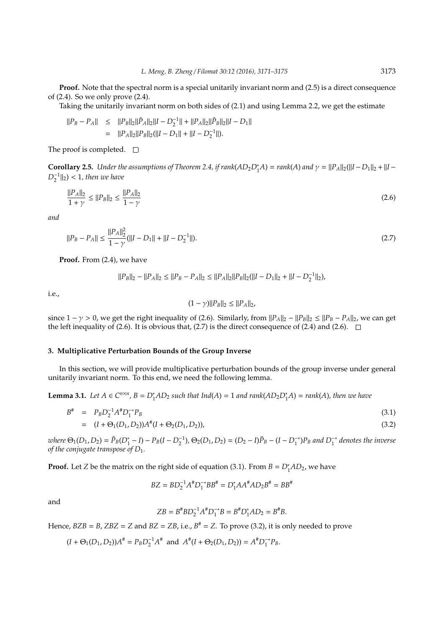**Proof.** Note that the spectral norm is a special unitarily invariant norm and (2.5) is a direct consequence of (2.4). So we only prove (2.4).

Taking the unitarily invariant norm on both sides of (2.1) and using Lemma 2.2, we get the estimate

$$
\begin{array}{rcl} ||P_B-P_A||&\leq&||P_B||_2||\tilde{P}_A||_2||I-D_2^{-1}||+||P_A||_2||\tilde{P}_B||_2||I-D_1||\\&=&||P_A||_2||P_B||_2(||I-D_1||+||I-D_2^{-1}||).\end{array}
$$

The proof is completed.  $\square$ 

**Corollary 2.5.** *Under the assumptions of Theorem 2.4, if*  $rank(AD_2D_1^*A) = rank(A)$  *and*  $\gamma = ||P_A||_2(||I - D_1||_2 + ||I - D_2||_2)$  $D_2^{-1}$ ||2) < 1*, then we have* 

$$
\frac{\|P_A\|_2}{1+\gamma} \le \|P_B\|_2 \le \frac{\|P_A\|_2}{1-\gamma}
$$
\n(2.6)

*and*

$$
||P_B - P_A|| \le \frac{||P_A||_2^2}{1 - \gamma} (||I - D_1|| + ||I - D_2^{-1}||). \tag{2.7}
$$

**Proof.** From (2.4), we have

$$
||P_B||_2 - ||P_A||_2 \le ||P_B - P_A||_2 \le ||P_A||_2||P_B||_2(||I - D_1||_2 + ||I - D_2^{-1}||_2),
$$

i.e.,

$$
(1 - \gamma) ||P_B||_2 \leq ||P_A||_2,
$$

since 1 −  $\gamma$  > 0, we get the right inequality of (2.6). Similarly, from  $||P_A||_2 - ||P_B||_2 \le ||P_B - P_A||_2$ , we can get the left inequality of (2.6). It is obvious that, (2.7) is the direct consequence of (2.4) and (2.6).  $\Box$ 

## **3. Multiplicative Perturbation Bounds of the Group Inverse**

In this section, we will provide multiplicative perturbation bounds of the group inverse under general unitarily invariant norm. To this end, we need the following lemma.

**Lemma 3.1.** *Let*  $A \in C^{n \times n}$ ,  $B = D_1^*AD_2$  *such that Ind*( $A$ ) = 1 *and rank*( $AD_2D_1^*A$ ) = *rank*( $A$ ), *then we have* 

$$
B^{\#} = P_B D_2^{-1} A^{\#} D_1^{-*} P_B
$$
  
=  $(I + \Theta_1(D_1, D_2)) A^{\#} (I + \Theta_2(D_1, D_2)),$  (3.2)

where  $\Theta_1(D_1, D_2) = \tilde{P}_B(D_1^* - I) - P_B(I - D_2^{-1}), \Theta_2(D_1, D_2) = (D_2 - I)\tilde{P}_B - (I - D_1^{-*})P_B$  and  $D_1^{-*}$  denotes the inverse *of the conjugate transpose of D*1*.*

**Proof.** Let *Z* be the matrix on the right side of equation (3.1). From  $B = D_1^*AD_2$ , we have

$$
BZ = BD_2^{-1}A^\#D_1^{-*}BB^\# = D_1^*AA^\#AD_2B^\# = BB^\#
$$

and

$$
ZB = B^{\#}BD_2^{-1}A^{\#}D_1^{-*}B = B^{\#}D_1^*AD_2 = B^{\#}B.
$$

Hence,  $BZB = B$ ,  $ZBZ = Z$  and  $BZ = ZB$ , i.e.,  $B^{\#} = Z$ . To prove (3.2), it is only needed to prove

 $(I + \Theta_1(D_1, D_2))A^* = P_B D_2^{-1} A^*$  and  $A^*(I + \Theta_2(D_1, D_2)) = A^* D_1^{-*}$  $i_1^{-*}P_B$ .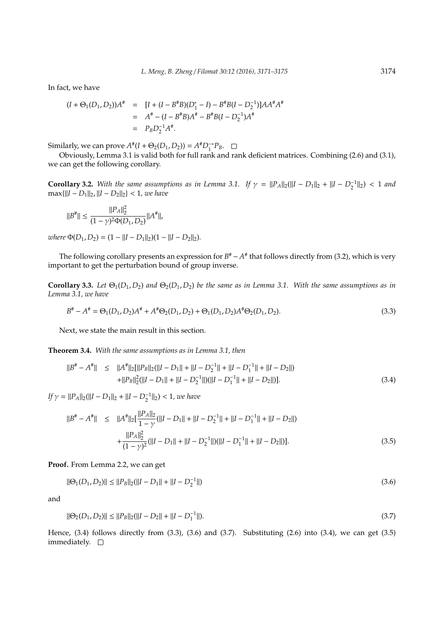In fact, we have

$$
(I + \Theta_1(D_1, D_2))A^* = [I + (I - B^*B)(D_1^* - I) - B^*B(I - D_2^{-1})]AA^*A^*
$$
  
=  $A^* - (I - B^*B)A^* - B^*B(I - D_2^{-1})A^*$   
=  $P_B D_2^{-1}A^*.$ 

Similarly, we can prove  $A^{\#}(I + \Theta_2(D_1, D_2)) = A^{\#}D_1^{-*}P_B$ .

Obviously, Lemma 3.1 is valid both for full rank and rank deficient matrices. Combining (2.6) and (3.1), we can get the following corollary.

**Corollary 3.2.** With the same assumptions as in Lemma 3.1. If  $\gamma = ||P_A||_2(||I - D_1||_2 + ||I - D_2^{-1}||_2)$  < 1 and  $max{||I - D_1||_2}, ||I - D_2||_2} < 1$ *, we have* 

$$
||B^{\#}||\leq \frac{||P_A||_2^2}{(1-\gamma)^2\Phi(D_1,D_2)}||A^{\#}||,
$$

*where*  $\Phi(D_1, D_2) = (1 - ||I - D_1||_2)(1 - ||I - D_2||_2)$ .

The following corollary presents an expression for  $B^{\#} - A^{\#}$  that follows directly from (3.2), which is very important to get the perturbation bound of group inverse.

**Corollary 3.3.** Let  $\Theta_1(D_1, D_2)$  and  $\Theta_2(D_1, D_2)$  be the same as in Lemma 3.1. With the same assumptions as in *Lemma 3.1, we have*

$$
B^{\#} - A^{\#} = \Theta_1(D_1, D_2)A^{\#} + A^{\#}\Theta_2(D_1, D_2) + \Theta_1(D_1, D_2)A^{\#}\Theta_2(D_1, D_2). \tag{3.3}
$$

Next, we state the main result in this section.

**Theorem 3.4.** *With the same assumptions as in Lemma 3.1, then*

$$
||B^{\#} - A^{\#}|| \le ||A^{\#}||_2[||P_B||_2(||I - D_1|| + ||I - D_2^{-1}|| + ||I - D_1^{-1}|| + ||I - D_2||)
$$
  
+||P\_B||<sub>2</sub><sup>2</sup>(||I - D\_1|| + ||I - D\_2^{-1}||)(||I - D\_1^{-1}|| + ||I - D\_2||). (3.4)

 $If \gamma = ||P_A||_2(||I - D_1||_2 + ||I - D_2^{-1}||_2) < 1$ *, we have* 

$$
||B^{\#} - A^{\#}|| \le ||A^{\#}||_2 \left[ \frac{||P_A||_2}{1 - \gamma} (||I - D_1|| + ||I - D_2^{-1}|| + ||I - D_1^{-1}|| + ||I - D_2||) \right] + \frac{||P_A||_2^2}{(1 - \gamma)^2} (||I - D_1|| + ||I - D_2^{-1}||)(||I - D_1^{-1}|| + ||I - D_2||)].
$$
\n(3.5)

**Proof.** From Lemma 2.2, we can get

$$
\|\Theta_1(D_1, D_2)\| \le \|P_B\|_2 (\|I - D_1\| + \|I - D_2^{-1}\|)
$$
\n(3.6)

and

$$
\|\Theta_2(D_1, D_2)\| \le \|P_B\|_2 (\|I - D_2\| + \|I - D_1^{-1}\|). \tag{3.7}
$$

Hence, (3.4) follows directly from (3.3), (3.6) and (3.7). Substituting (2.6) into (3.4), we can get (3.5) immediately.  $\square$